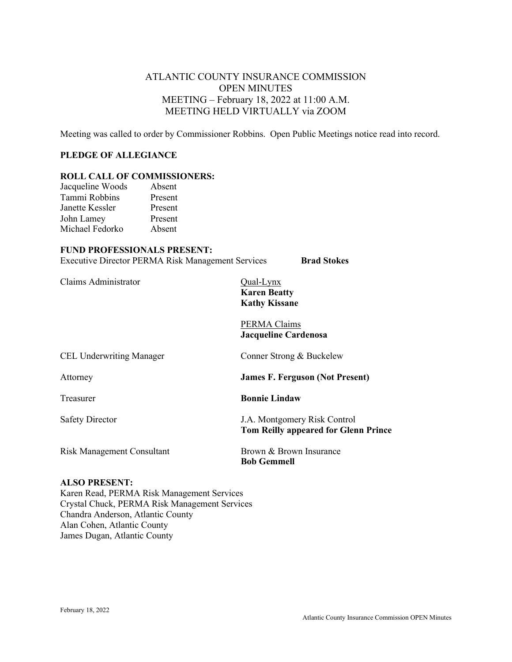# ATLANTIC COUNTY INSURANCE COMMISSION OPEN MINUTES MEETING – February 18, 2022 at 11:00 A.M. MEETING HELD VIRTUALLY via ZOOM

Meeting was called to order by Commissioner Robbins. Open Public Meetings notice read into record.

### **PLEDGE OF ALLEGIANCE**

## **ROLL CALL OF COMMISSIONERS:**

| Jacqueline Woods | Absent  |
|------------------|---------|
| Tammi Robbins    | Present |
| Janette Kessler  | Present |
| John Lamey       | Present |
| Michael Fedorko  | Absent  |

#### **FUND PROFESSIONALS PRESENT:**

Executive Director PERMA Risk Management Services **Brad Stokes**

Claims Administrator Qual-Lynx

**Karen Beatty Kathy Kissane**

PERMA Claims **Jacqueline Cardenosa**

| Conner Strong & Buckelew                                                    |
|-----------------------------------------------------------------------------|
| <b>James F. Ferguson (Not Present)</b>                                      |
| <b>Bonnie Lindaw</b>                                                        |
| J.A. Montgomery Risk Control<br><b>Tom Reilly appeared for Glenn Prince</b> |
| Brown & Brown Insurance<br><b>Bob Gemmell</b>                               |
|                                                                             |

## **ALSO PRESENT:**

Karen Read, PERMA Risk Management Services Crystal Chuck, PERMA Risk Management Services Chandra Anderson, Atlantic County Alan Cohen, Atlantic County James Dugan, Atlantic County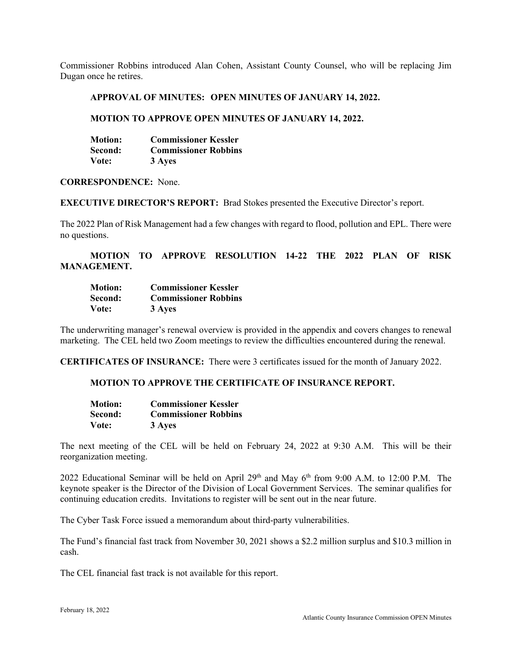Commissioner Robbins introduced Alan Cohen, Assistant County Counsel, who will be replacing Jim Dugan once he retires.

#### **APPROVAL OF MINUTES: OPEN MINUTES OF JANUARY 14, 2022.**

#### **MOTION TO APPROVE OPEN MINUTES OF JANUARY 14, 2022.**

| <b>Motion:</b> | <b>Commissioner Kessler</b> |
|----------------|-----------------------------|
| Second:        | <b>Commissioner Robbins</b> |
| Vote:          | 3 Ayes                      |

#### **CORRESPONDENCE:** None.

**EXECUTIVE DIRECTOR'S REPORT:** Brad Stokes presented the Executive Director's report.

The 2022 Plan of Risk Management had a few changes with regard to flood, pollution and EPL. There were no questions.

**MOTION TO APPROVE RESOLUTION 14-22 THE 2022 PLAN OF RISK MANAGEMENT.**

| <b>Motion:</b> | <b>Commissioner Kessler</b> |
|----------------|-----------------------------|
| Second:        | <b>Commissioner Robbins</b> |
| Vote:          | 3 Ayes                      |

The underwriting manager's renewal overview is provided in the appendix and covers changes to renewal marketing. The CEL held two Zoom meetings to review the difficulties encountered during the renewal.

**CERTIFICATES OF INSURANCE:** There were 3 certificates issued for the month of January 2022.

#### **MOTION TO APPROVE THE CERTIFICATE OF INSURANCE REPORT.**

| <b>Motion:</b> | <b>Commissioner Kessler</b> |
|----------------|-----------------------------|
| Second:        | <b>Commissioner Robbins</b> |
| Vote:          | 3 Ayes                      |

The next meeting of the CEL will be held on February 24, 2022 at 9:30 A.M. This will be their reorganization meeting.

2022 Educational Seminar will be held on April  $29<sup>th</sup>$  and May 6<sup>th</sup> from 9:00 A.M. to 12:00 P.M. The keynote speaker is the Director of the Division of Local Government Services. The seminar qualifies for continuing education credits. Invitations to register will be sent out in the near future.

The Cyber Task Force issued a memorandum about third-party vulnerabilities.

The Fund's financial fast track from November 30, 2021 shows a \$2.2 million surplus and \$10.3 million in cash.

The CEL financial fast track is not available for this report.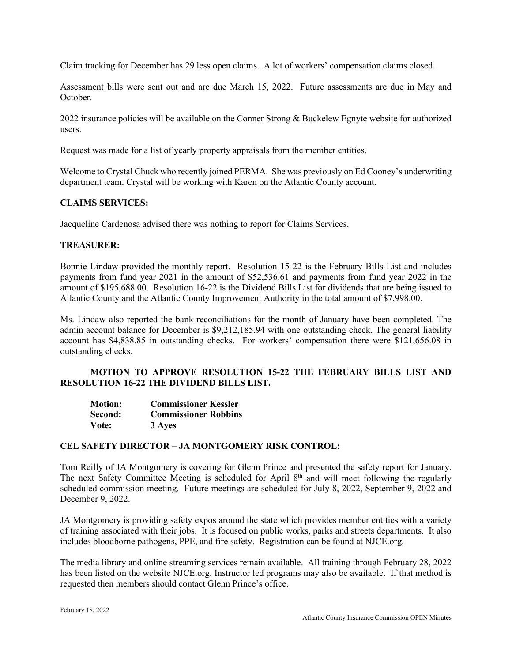Claim tracking for December has 29 less open claims. A lot of workers' compensation claims closed.

Assessment bills were sent out and are due March 15, 2022. Future assessments are due in May and October.

2022 insurance policies will be available on the Conner Strong & Buckelew Egnyte website for authorized users.

Request was made for a list of yearly property appraisals from the member entities.

Welcome to Crystal Chuck who recently joined PERMA. She was previously on Ed Cooney's underwriting department team. Crystal will be working with Karen on the Atlantic County account.

### **CLAIMS SERVICES:**

Jacqueline Cardenosa advised there was nothing to report for Claims Services.

### **TREASURER:**

Bonnie Lindaw provided the monthly report. Resolution 15-22 is the February Bills List and includes payments from fund year 2021 in the amount of \$52,536.61 and payments from fund year 2022 in the amount of \$195,688.00. Resolution 16-22 is the Dividend Bills List for dividends that are being issued to Atlantic County and the Atlantic County Improvement Authority in the total amount of \$7,998.00.

Ms. Lindaw also reported the bank reconciliations for the month of January have been completed. The admin account balance for December is \$9,212,185.94 with one outstanding check. The general liability account has \$4,838.85 in outstanding checks. For workers' compensation there were \$121,656.08 in outstanding checks.

## **MOTION TO APPROVE RESOLUTION 15-22 THE FEBRUARY BILLS LIST AND RESOLUTION 16-22 THE DIVIDEND BILLS LIST.**

| <b>Motion:</b> | <b>Commissioner Kessler</b> |
|----------------|-----------------------------|
| Second:        | <b>Commissioner Robbins</b> |
| Vote:          | 3 Ayes                      |

#### **CEL SAFETY DIRECTOR – JA MONTGOMERY RISK CONTROL:**

Tom Reilly of JA Montgomery is covering for Glenn Prince and presented the safety report for January. The next Safety Committee Meeting is scheduled for April  $8<sup>th</sup>$  and will meet following the regularly scheduled commission meeting. Future meetings are scheduled for July 8, 2022, September 9, 2022 and December 9, 2022.

JA Montgomery is providing safety expos around the state which provides member entities with a variety of training associated with their jobs. It is focused on public works, parks and streets departments. It also includes bloodborne pathogens, PPE, and fire safety. Registration can be found at NJCE.org.

The media library and online streaming services remain available. All training through February 28, 2022 has been listed on the website NJCE.org. Instructor led programs may also be available. If that method is requested then members should contact Glenn Prince's office.